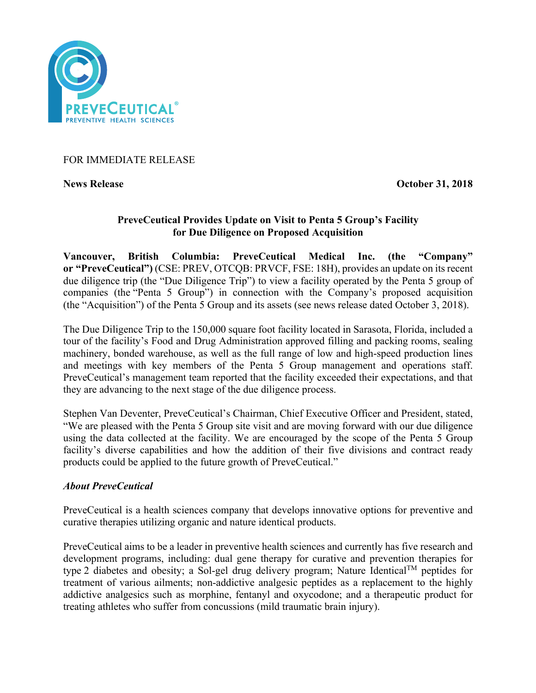

FOR IMMEDIATE RELEASE

**News Release Contract Contract Contract Contract Contract Contract Contract Contract Contract October 31, 2018** 

## **PreveCeutical Provides Update on Visit to Penta 5 Group's Facility for Due Diligence on Proposed Acquisition**

**Vancouver, British Columbia: PreveCeutical Medical Inc. (the "Company" or "PreveCeutical")** (CSE: PREV, OTCQB: PRVCF, FSE: 18H), provides an update on its recent due diligence trip (the "Due Diligence Trip") to view a facility operated by the Penta 5 group of companies (the "Penta 5 Group") in connection with the Company's proposed acquisition (the "Acquisition") of the Penta 5 Group and its assets (see news release dated October 3, 2018).

The Due Diligence Trip to the 150,000 square foot facility located in Sarasota, Florida, included a tour of the facility's Food and Drug Administration approved filling and packing rooms, sealing machinery, bonded warehouse, as well as the full range of low and high-speed production lines and meetings with key members of the Penta 5 Group management and operations staff. PreveCeutical's management team reported that the facility exceeded their expectations, and that they are advancing to the next stage of the due diligence process.

Stephen Van Deventer, PreveCeutical's Chairman, Chief Executive Officer and President, stated, "We are pleased with the Penta 5 Group site visit and are moving forward with our due diligence using the data collected at the facility. We are encouraged by the scope of the Penta 5 Group facility's diverse capabilities and how the addition of their five divisions and contract ready products could be applied to the future growth of PreveCeutical."

## *About PreveCeutical*

PreveCeutical is a health sciences company that develops innovative options for preventive and curative therapies utilizing organic and nature identical products.

PreveCeutical aims to be a leader in preventive health sciences and currently has five research and development programs, including: dual gene therapy for curative and prevention therapies for type 2 diabetes and obesity; a Sol-gel drug delivery program; Nature Identical<sup>TM</sup> peptides for treatment of various ailments; non-addictive analgesic peptides as a replacement to the highly addictive analgesics such as morphine, fentanyl and oxycodone; and a therapeutic product for treating athletes who suffer from concussions (mild traumatic brain injury).